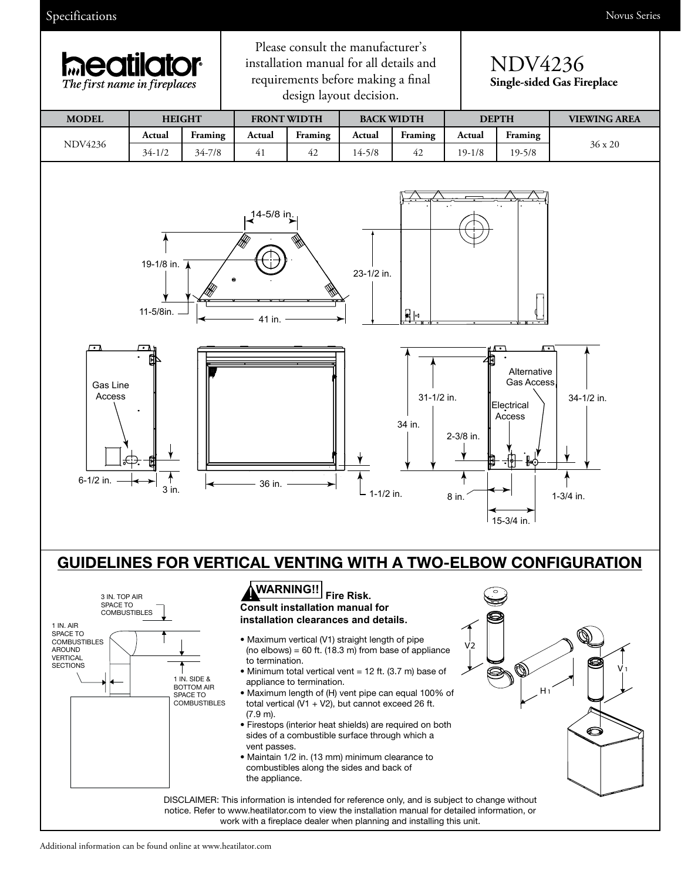